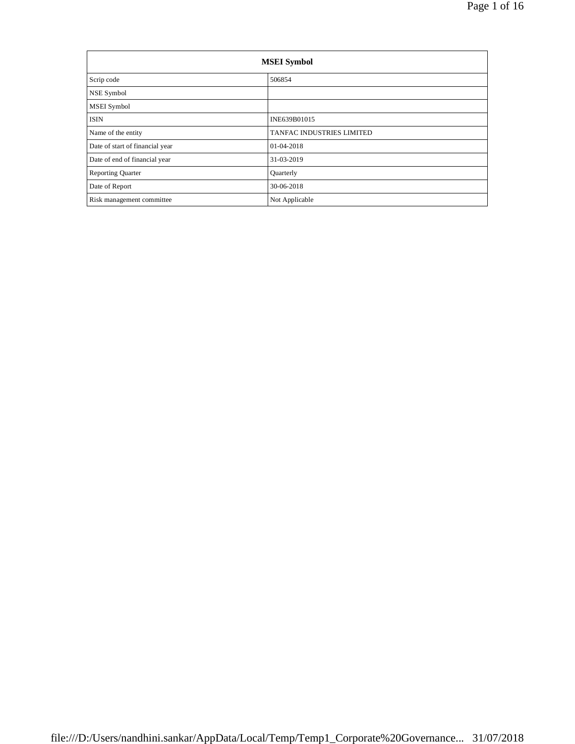| <b>MSEI</b> Symbol              |                           |  |  |  |  |
|---------------------------------|---------------------------|--|--|--|--|
| Scrip code                      | 506854                    |  |  |  |  |
| NSE Symbol                      |                           |  |  |  |  |
| MSEI Symbol                     |                           |  |  |  |  |
| <b>ISIN</b>                     | INE639B01015              |  |  |  |  |
| Name of the entity              | TANFAC INDUSTRIES LIMITED |  |  |  |  |
| Date of start of financial year | 01-04-2018                |  |  |  |  |
| Date of end of financial year   | 31-03-2019                |  |  |  |  |
| <b>Reporting Quarter</b>        | Quarterly                 |  |  |  |  |
| Date of Report                  | 30-06-2018                |  |  |  |  |
| Risk management committee       | Not Applicable            |  |  |  |  |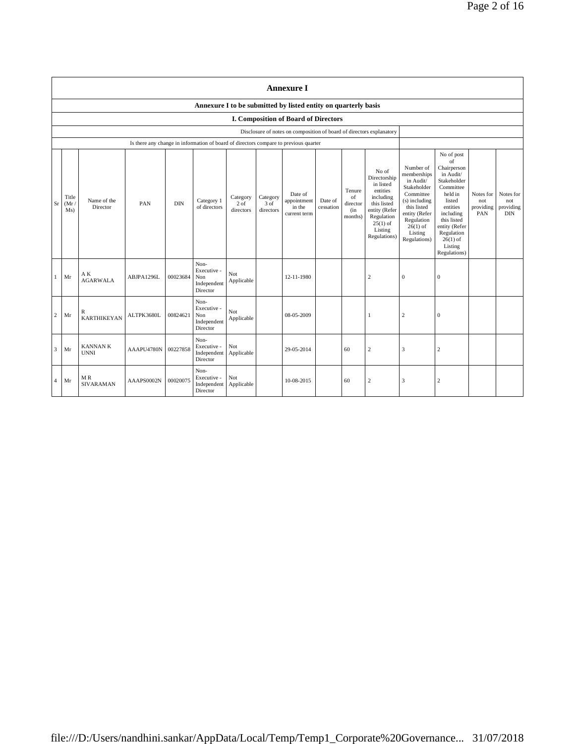|                |                                                                |                               |                                                                                      |            |                                                       |                                 |                                 | <b>Annexure I</b>                                                    |                      |                                            |                                                                                                                                                    |                                                                                                                                                                           |                                                                                                                                                                                                               |                                      |                                             |
|----------------|----------------------------------------------------------------|-------------------------------|--------------------------------------------------------------------------------------|------------|-------------------------------------------------------|---------------------------------|---------------------------------|----------------------------------------------------------------------|----------------------|--------------------------------------------|----------------------------------------------------------------------------------------------------------------------------------------------------|---------------------------------------------------------------------------------------------------------------------------------------------------------------------------|---------------------------------------------------------------------------------------------------------------------------------------------------------------------------------------------------------------|--------------------------------------|---------------------------------------------|
|                | Annexure I to be submitted by listed entity on quarterly basis |                               |                                                                                      |            |                                                       |                                 |                                 |                                                                      |                      |                                            |                                                                                                                                                    |                                                                                                                                                                           |                                                                                                                                                                                                               |                                      |                                             |
|                | <b>I. Composition of Board of Directors</b>                    |                               |                                                                                      |            |                                                       |                                 |                                 |                                                                      |                      |                                            |                                                                                                                                                    |                                                                                                                                                                           |                                                                                                                                                                                                               |                                      |                                             |
|                |                                                                |                               |                                                                                      |            |                                                       |                                 |                                 | Disclosure of notes on composition of board of directors explanatory |                      |                                            |                                                                                                                                                    |                                                                                                                                                                           |                                                                                                                                                                                                               |                                      |                                             |
|                |                                                                |                               | Is there any change in information of board of directors compare to previous quarter |            |                                                       |                                 |                                 |                                                                      |                      |                                            |                                                                                                                                                    |                                                                                                                                                                           |                                                                                                                                                                                                               |                                      |                                             |
| Sr             | Title<br>(Mr)<br>Ms)                                           | Name of the<br>Director       | PAN                                                                                  | <b>DIN</b> | Category 1<br>of directors                            | Category<br>$2$ of<br>directors | Category<br>$3$ of<br>directors | Date of<br>appointment<br>in the<br>current term                     | Date of<br>cessation | Tenure<br>of<br>director<br>(in<br>months) | No of<br>Directorship<br>in listed<br>entities<br>including<br>this listed<br>entity (Refer<br>Regulation<br>$25(1)$ of<br>Listing<br>Regulations) | Number of<br>memberships<br>in Audit/<br>Stakeholder<br>Committee<br>(s) including<br>this listed<br>entity (Refer<br>Regulation<br>$26(1)$ of<br>Listing<br>Regulations) | No of post<br>of<br>Chairperson<br>in Audit/<br>Stakeholder<br>Committee<br>held in<br>listed<br>entities<br>including<br>this listed<br>entity (Refer<br>Regulation<br>$26(1)$ of<br>Listing<br>Regulations) | Notes for<br>not<br>providing<br>PAN | Notes for<br>not<br>providing<br><b>DIN</b> |
| $\mathbf{1}$   | Mr                                                             | AK<br><b>AGARWALA</b>         | ABJPA1296L                                                                           | 00023684   | Non-<br>Executive -<br>Non<br>Independent<br>Director | Not<br>Applicable               |                                 | 12-11-1980                                                           |                      |                                            | 2                                                                                                                                                  | $\bf{0}$                                                                                                                                                                  | $\Omega$                                                                                                                                                                                                      |                                      |                                             |
| $\overline{2}$ | Mr                                                             | R<br><b>KARTHIKEYAN</b>       | ALTPK3680L                                                                           | 00824621   | Non-<br>Executive -<br>Non<br>Independent<br>Director | Not<br>Applicable               |                                 | 08-05-2009                                                           |                      |                                            | 1                                                                                                                                                  | $\sqrt{2}$                                                                                                                                                                | $\mathbf{0}$                                                                                                                                                                                                  |                                      |                                             |
| $\overline{3}$ | Mr                                                             | <b>KANNANK</b><br><b>UNNI</b> | AAAPU4780N                                                                           | 00227858   | Non-<br>Executive -<br>Independent<br>Director        | Not<br>Applicable               |                                 | 29-05-2014                                                           |                      | 60                                         | $\overline{c}$                                                                                                                                     | $\overline{\mathbf{3}}$                                                                                                                                                   | $\overline{c}$                                                                                                                                                                                                |                                      |                                             |
| $\overline{4}$ | Mr                                                             | MR<br><b>SIVARAMAN</b>        | AAAPS0002N                                                                           | 00020075   | Non-<br>Executive -<br>Independent<br>Director        | Not<br>Applicable               |                                 | 10-08-2015                                                           |                      | 60                                         | $\overline{2}$                                                                                                                                     | $\overline{\mathbf{3}}$                                                                                                                                                   | $\overline{c}$                                                                                                                                                                                                |                                      |                                             |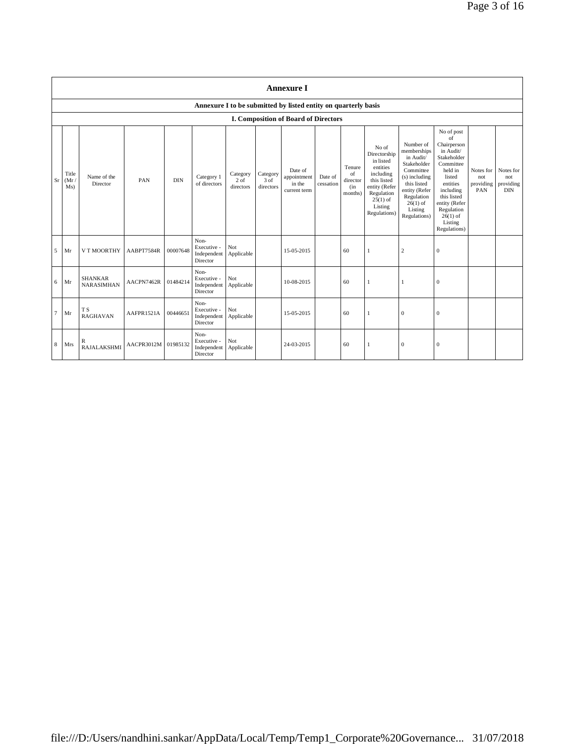|                | <b>Annexure I</b>    |                                     |            |            |                                                |                                 |                                 |                                                                |                      |                                            |                                                                                                                                                    |                                                                                                                                                                           |                                                                                                                                                                                                               |                                      |                                             |
|----------------|----------------------|-------------------------------------|------------|------------|------------------------------------------------|---------------------------------|---------------------------------|----------------------------------------------------------------|----------------------|--------------------------------------------|----------------------------------------------------------------------------------------------------------------------------------------------------|---------------------------------------------------------------------------------------------------------------------------------------------------------------------------|---------------------------------------------------------------------------------------------------------------------------------------------------------------------------------------------------------------|--------------------------------------|---------------------------------------------|
|                |                      |                                     |            |            |                                                |                                 |                                 | Annexure I to be submitted by listed entity on quarterly basis |                      |                                            |                                                                                                                                                    |                                                                                                                                                                           |                                                                                                                                                                                                               |                                      |                                             |
|                |                      |                                     |            |            |                                                |                                 |                                 | <b>I. Composition of Board of Directors</b>                    |                      |                                            |                                                                                                                                                    |                                                                                                                                                                           |                                                                                                                                                                                                               |                                      |                                             |
| Sr             | Title<br>(Mr)<br>Ms) | Name of the<br>Director             | PAN        | <b>DIN</b> | Category 1<br>of directors                     | Category<br>$2$ of<br>directors | Category<br>$3$ of<br>directors | Date of<br>appointment<br>in the<br>current term               | Date of<br>cessation | Tenure<br>of<br>director<br>(in<br>months) | No of<br>Directorship<br>in listed<br>entities<br>including<br>this listed<br>entity (Refer<br>Regulation<br>$25(1)$ of<br>Listing<br>Regulations) | Number of<br>memberships<br>in Audit/<br>Stakeholder<br>Committee<br>(s) including<br>this listed<br>entity (Refer<br>Regulation<br>$26(1)$ of<br>Listing<br>Regulations) | No of post<br>of<br>Chairperson<br>in Audit/<br>Stakeholder<br>Committee<br>held in<br>listed<br>entities<br>including<br>this listed<br>entity (Refer<br>Regulation<br>$26(1)$ of<br>Listing<br>Regulations) | Notes for<br>not<br>providing<br>PAN | Notes for<br>not<br>providing<br><b>DIN</b> |
| 5              | Mr                   | V T MOORTHY                         | AABPT7584R | 00007648   | Non-<br>Executive -<br>Independent<br>Director | Not<br>Applicable               |                                 | 15-05-2015                                                     |                      | 60                                         | -1                                                                                                                                                 | $\sqrt{2}$                                                                                                                                                                | $\mathbf{0}$                                                                                                                                                                                                  |                                      |                                             |
| 6              | Mr                   | <b>SHANKAR</b><br><b>NARASIMHAN</b> | AACPN7462R | 01484214   | Non-<br>Executive -<br>Independent<br>Director | Not<br>Applicable               |                                 | 10-08-2015                                                     |                      | 60                                         | 1                                                                                                                                                  |                                                                                                                                                                           | $\mathbf{0}$                                                                                                                                                                                                  |                                      |                                             |
| $\overline{7}$ | Mr                   | T <sub>S</sub><br><b>RAGHAVAN</b>   | AAFPR1521A | 00446651   | Non-<br>Executive -<br>Independent<br>Director | Not<br>Applicable               |                                 | 15-05-2015                                                     |                      | 60                                         | 1                                                                                                                                                  | $\mathbf{0}$                                                                                                                                                              | $\mathbf{0}$                                                                                                                                                                                                  |                                      |                                             |
| 8              | Mrs                  | R<br><b>RAJALAKSHMI</b>             | AACPR3012M | 01985132   | Non-<br>Executive -<br>Independent<br>Director | Not<br>Applicable               |                                 | 24-03-2015                                                     |                      | 60                                         | 1                                                                                                                                                  | $\mathbf{0}$                                                                                                                                                              | $\mathbf{0}$                                                                                                                                                                                                  |                                      |                                             |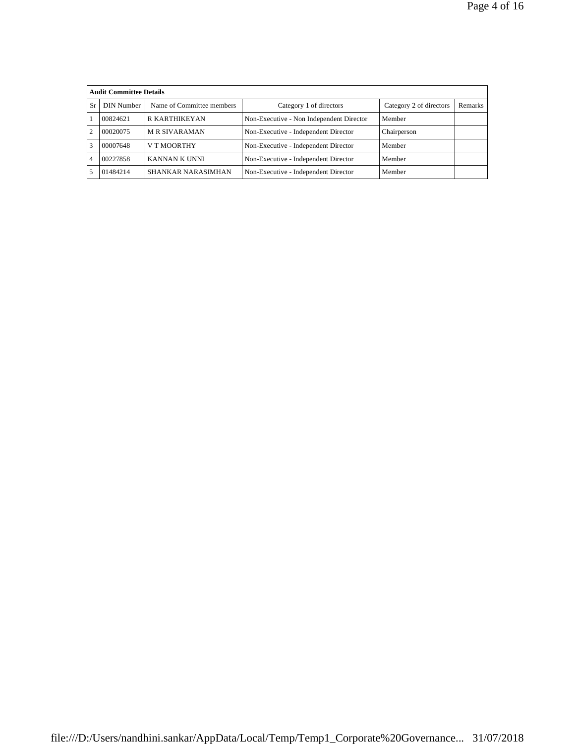|                | <b>Audit Committee Details</b> |                           |                                          |                         |         |
|----------------|--------------------------------|---------------------------|------------------------------------------|-------------------------|---------|
| Sr             | DIN Number                     | Name of Committee members | Category 1 of directors                  | Category 2 of directors | Remarks |
|                | 00824621                       | R KARTHIKEYAN             | Non-Executive - Non Independent Director | Member                  |         |
| $\overline{2}$ | 00020075                       | <b>M R SIVARAMAN</b>      | Non-Executive - Independent Director     | Chairperson             |         |
| 3              | 00007648                       | V T MOORTHY               | Non-Executive - Independent Director     | Member                  |         |
| $\overline{4}$ | 00227858                       | KANNAN K UNNI             | Non-Executive - Independent Director     | Member                  |         |
| 5              | 01484214                       | SHANKAR NARASIMHAN        | Non-Executive - Independent Director     | Member                  |         |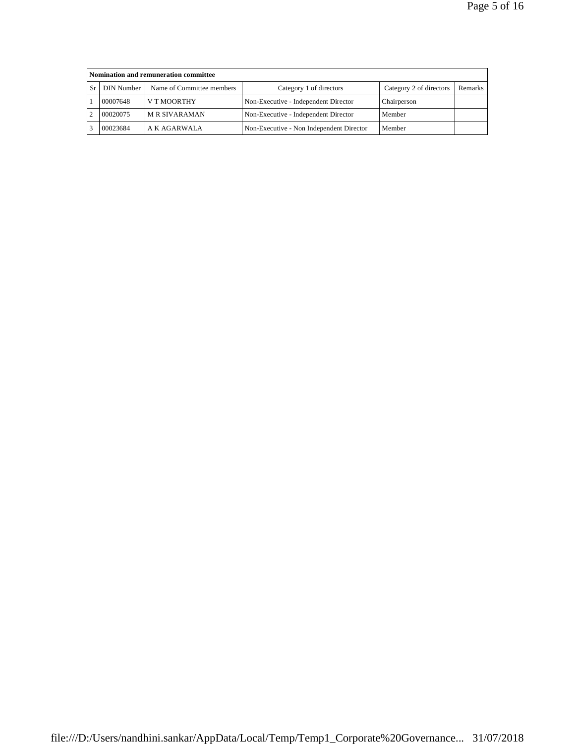|    | Nomination and remuneration committee |                           |                                          |                         |         |  |  |  |  |
|----|---------------------------------------|---------------------------|------------------------------------------|-------------------------|---------|--|--|--|--|
| Sr | DIN Number 1                          | Name of Committee members | Category 1 of directors                  | Category 2 of directors | Remarks |  |  |  |  |
|    | 00007648                              | V T MOORTHY               | Non-Executive - Independent Director     | Chairperson             |         |  |  |  |  |
|    | 00020075                              | <b>M R SIVARAMAN</b>      | Non-Executive - Independent Director     | Member                  |         |  |  |  |  |
|    | 00023684                              | A K AGARWALA              | Non-Executive - Non Independent Director | Member                  |         |  |  |  |  |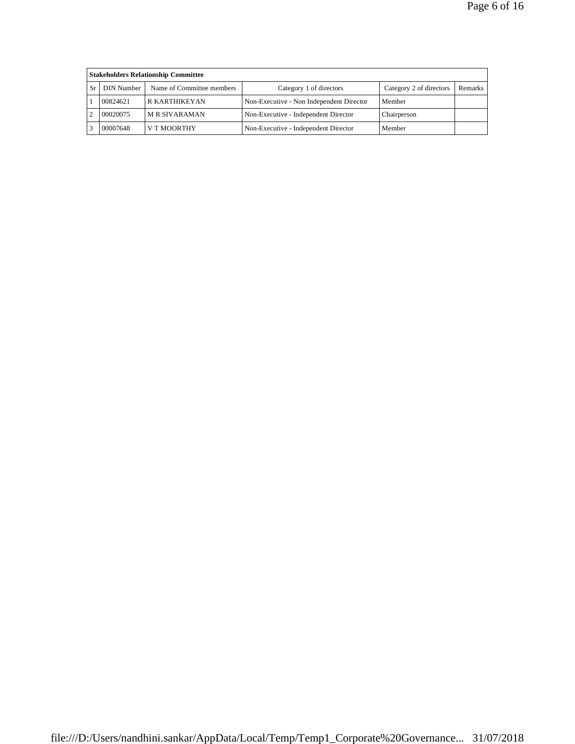|    | <b>Stakeholders Relationship Committee</b> |                           |                                          |                         |         |  |  |  |  |
|----|--------------------------------------------|---------------------------|------------------------------------------|-------------------------|---------|--|--|--|--|
| Sr | DIN Number                                 | Name of Committee members | Category 1 of directors                  | Category 2 of directors | Remarks |  |  |  |  |
|    | 00824621                                   | R KARTHIKEYAN             | Non-Executive - Non Independent Director | Member                  |         |  |  |  |  |
|    | 00020075                                   | <b>M R SIVARAMAN</b>      | Non-Executive - Independent Director     | Chairperson             |         |  |  |  |  |
|    | 00007648                                   | V T MOORTHY               | Non-Executive - Independent Director     | Member                  |         |  |  |  |  |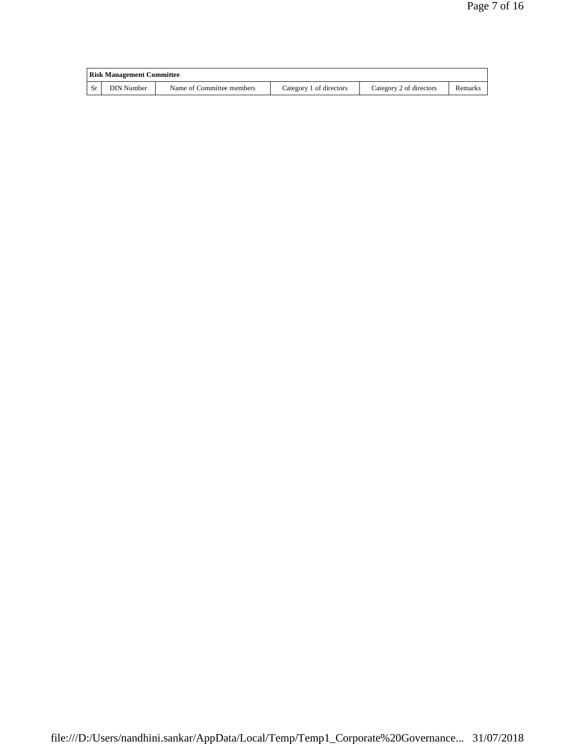| <b>Risk Management Committee</b> |                           |                         |                         |         |  |  |
|----------------------------------|---------------------------|-------------------------|-------------------------|---------|--|--|
| DIN Number                       | Name of Committee members | Category 1 of directors | Category 2 of directors | Remarks |  |  |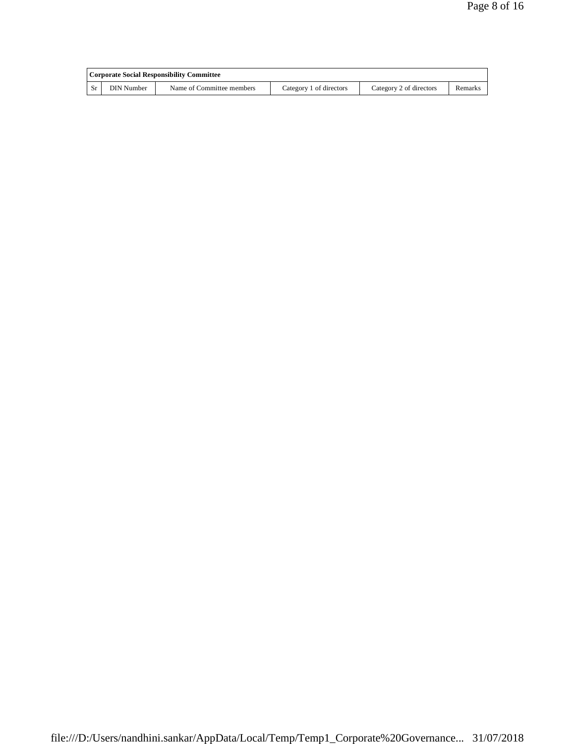|           | Corporate Social Responsibility Committee |                           |                         |                         |         |  |  |
|-----------|-------------------------------------------|---------------------------|-------------------------|-------------------------|---------|--|--|
| <b>Sr</b> | DIN Number                                | Name of Committee members | Category 1 of directors | Category 2 of directors | Remarks |  |  |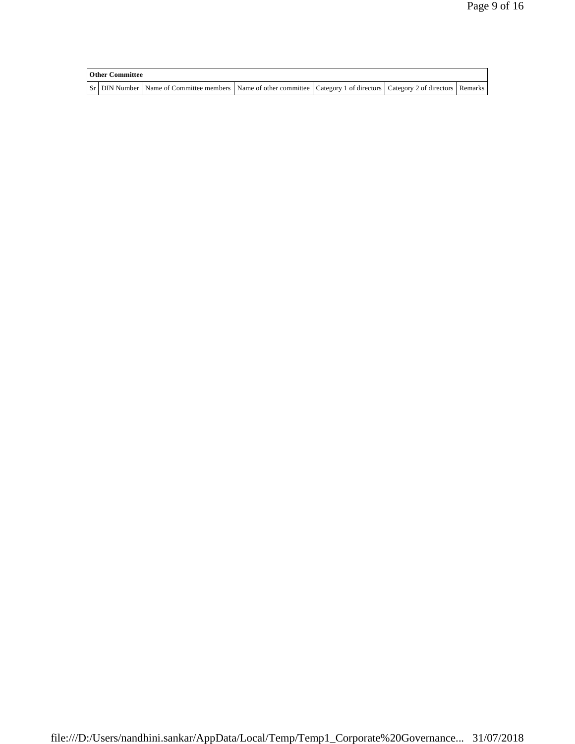| <b>Other Committee</b> |                                                                                                                                     |  |  |
|------------------------|-------------------------------------------------------------------------------------------------------------------------------------|--|--|
|                        | Sr   DIN Number   Name of Committee members   Name of other committee   Category 1 of directors   Category 2 of directors   Remarks |  |  |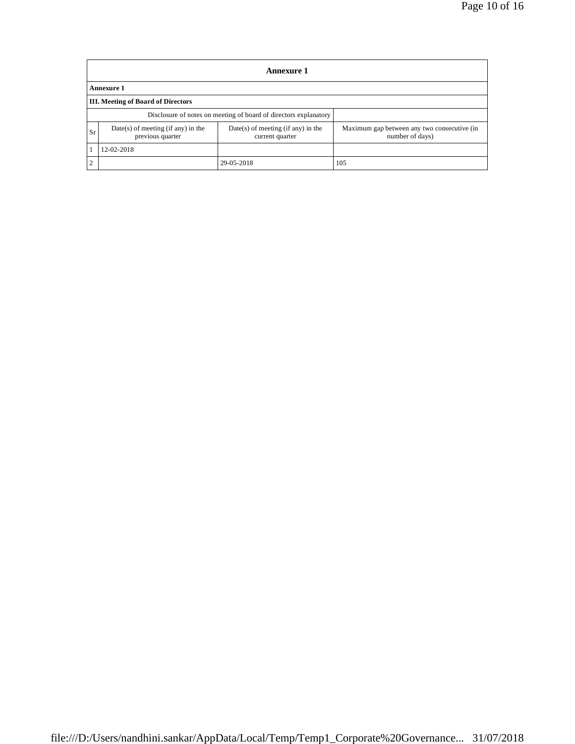|                | <b>Annexure 1</b>                                        |                                                                  |                                                                |  |  |  |  |  |
|----------------|----------------------------------------------------------|------------------------------------------------------------------|----------------------------------------------------------------|--|--|--|--|--|
|                | Annexure 1                                               |                                                                  |                                                                |  |  |  |  |  |
|                | <b>III.</b> Meeting of Board of Directors                |                                                                  |                                                                |  |  |  |  |  |
|                |                                                          | Disclosure of notes on meeting of board of directors explanatory |                                                                |  |  |  |  |  |
| Sr             | $Date(s)$ of meeting (if any) in the<br>previous quarter | $Date(s)$ of meeting (if any) in the<br>current quarter          | Maximum gap between any two consecutive (in<br>number of days) |  |  |  |  |  |
|                | 12-02-2018                                               |                                                                  |                                                                |  |  |  |  |  |
| $\overline{2}$ |                                                          | 29-05-2018                                                       | 105                                                            |  |  |  |  |  |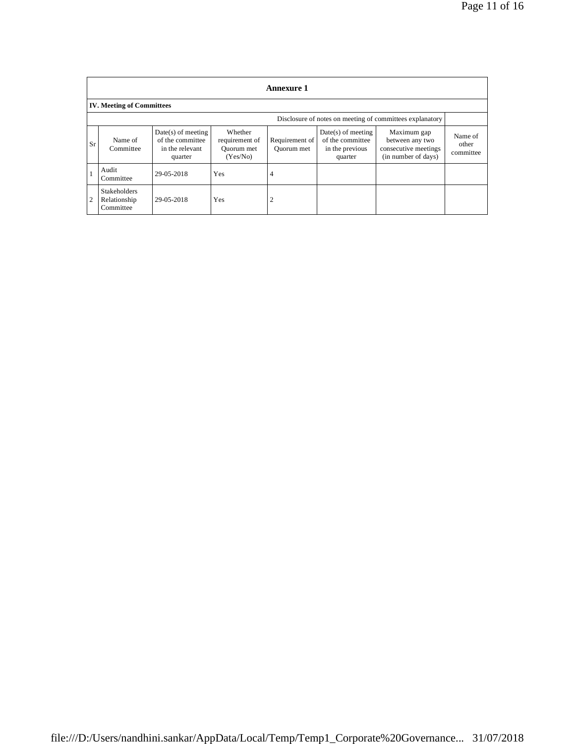|                | <b>Annexure 1</b>                                        |                                                                        |                                                     |                              |                                                                        |                                                                               |                               |
|----------------|----------------------------------------------------------|------------------------------------------------------------------------|-----------------------------------------------------|------------------------------|------------------------------------------------------------------------|-------------------------------------------------------------------------------|-------------------------------|
|                | <b>IV. Meeting of Committees</b>                         |                                                                        |                                                     |                              |                                                                        |                                                                               |                               |
|                | Disclosure of notes on meeting of committees explanatory |                                                                        |                                                     |                              |                                                                        |                                                                               |                               |
| Sr             | Name of<br>Committee                                     | $Date(s)$ of meeting<br>of the committee<br>in the relevant<br>quarter | Whether<br>requirement of<br>Quorum met<br>(Yes/No) | Requirement of<br>Ouorum met | $Date(s)$ of meeting<br>of the committee<br>in the previous<br>quarter | Maximum gap<br>between any two<br>consecutive meetings<br>(in number of days) | Name of<br>other<br>committee |
|                | Audit<br>Committee                                       | 29-05-2018                                                             | Yes                                                 | 4                            |                                                                        |                                                                               |                               |
| $\overline{2}$ | <b>Stakeholders</b><br>Relationship<br>Committee         | 29-05-2018                                                             | Yes                                                 | $\overline{2}$               |                                                                        |                                                                               |                               |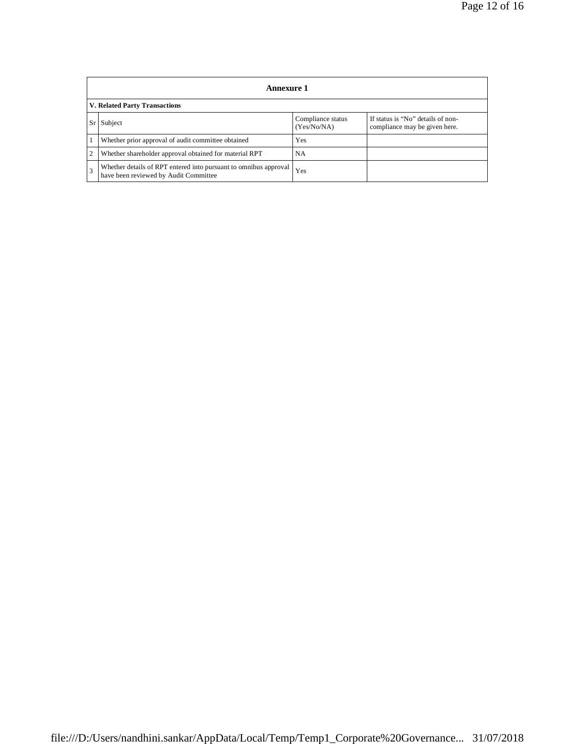|      | <b>Annexure 1</b>                                                                                         |                                  |                                                                    |  |  |  |  |  |
|------|-----------------------------------------------------------------------------------------------------------|----------------------------------|--------------------------------------------------------------------|--|--|--|--|--|
|      | <b>V. Related Party Transactions</b>                                                                      |                                  |                                                                    |  |  |  |  |  |
| Sr l | Subject                                                                                                   | Compliance status<br>(Yes/No/NA) | If status is "No" details of non-<br>compliance may be given here. |  |  |  |  |  |
|      | Whether prior approval of audit committee obtained                                                        | Yes                              |                                                                    |  |  |  |  |  |
| 2    | Whether shareholder approval obtained for material RPT                                                    | NA                               |                                                                    |  |  |  |  |  |
| 3    | Whether details of RPT entered into pursuant to omnibus approval<br>have been reviewed by Audit Committee | Yes                              |                                                                    |  |  |  |  |  |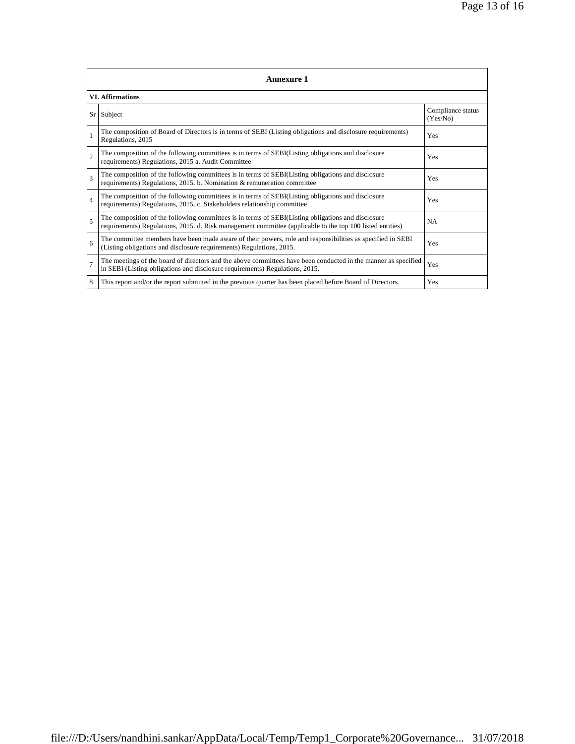| <b>Annexure 1</b>        |                                                                                                                                                                                                                 |                               |  |  |
|--------------------------|-----------------------------------------------------------------------------------------------------------------------------------------------------------------------------------------------------------------|-------------------------------|--|--|
| <b>VI.</b> Affirmations  |                                                                                                                                                                                                                 |                               |  |  |
| Sr l                     | Subject                                                                                                                                                                                                         | Compliance status<br>(Yes/No) |  |  |
|                          | The composition of Board of Directors is in terms of SEBI (Listing obligations and disclosure requirements)<br>Regulations, 2015                                                                                | Yes                           |  |  |
| $\overline{2}$           | The composition of the following committees is in terms of SEBI(Listing obligations and disclosure<br>requirements) Regulations, 2015 a. Audit Committee                                                        | Yes                           |  |  |
| 3                        | The composition of the following committees is in terms of SEBI(Listing obligations and disclosure<br>requirements) Regulations, 2015. b. Nomination $\&$ remuneration committee                                | Yes                           |  |  |
| $\overline{4}$           | The composition of the following committees is in terms of SEBI(Listing obligations and disclosure<br>requirements) Regulations, 2015. c. Stakeholders relationship committee                                   | Yes                           |  |  |
| $\overline{\phantom{0}}$ | The composition of the following committees is in terms of SEBI(Listing obligations and disclosure<br>requirements) Regulations, 2015. d. Risk management committee (applicable to the top 100 listed entities) | <b>NA</b>                     |  |  |
| 6                        | The committee members have been made aware of their powers, role and responsibilities as specified in SEBI<br>(Listing obligations and disclosure requirements) Regulations, 2015.                              | Yes                           |  |  |
| $\overline{7}$           | The meetings of the board of directors and the above committees have been conducted in the manner as specified<br>in SEBI (Listing obligations and disclosure requirements) Regulations, 2015.                  | Yes                           |  |  |
| 8                        | This report and/or the report submitted in the previous quarter has been placed before Board of Directors.                                                                                                      | Yes                           |  |  |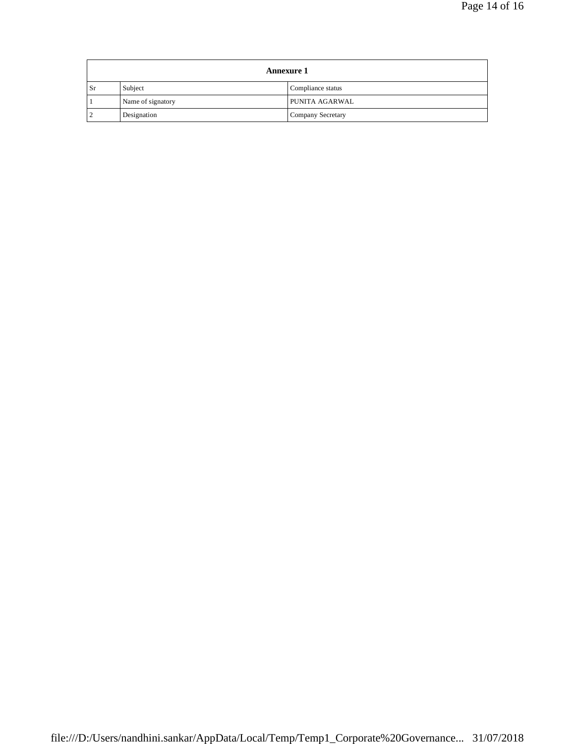| <b>Annexure 1</b> |                   |                   |  |
|-------------------|-------------------|-------------------|--|
| Sr                | Subject           | Compliance status |  |
|                   | Name of signatory | PUNITA AGARWAL    |  |
|                   | Designation       | Company Secretary |  |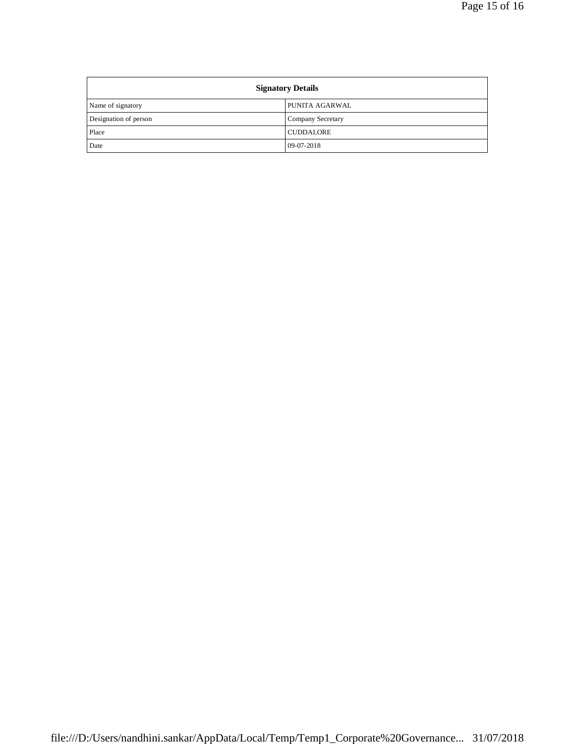| <b>Signatory Details</b> |                   |
|--------------------------|-------------------|
| Name of signatory        | PUNITA AGARWAL    |
| Designation of person    | Company Secretary |
| Place                    | <b>CUDDALORE</b>  |
| Date                     | $09-07-2018$      |